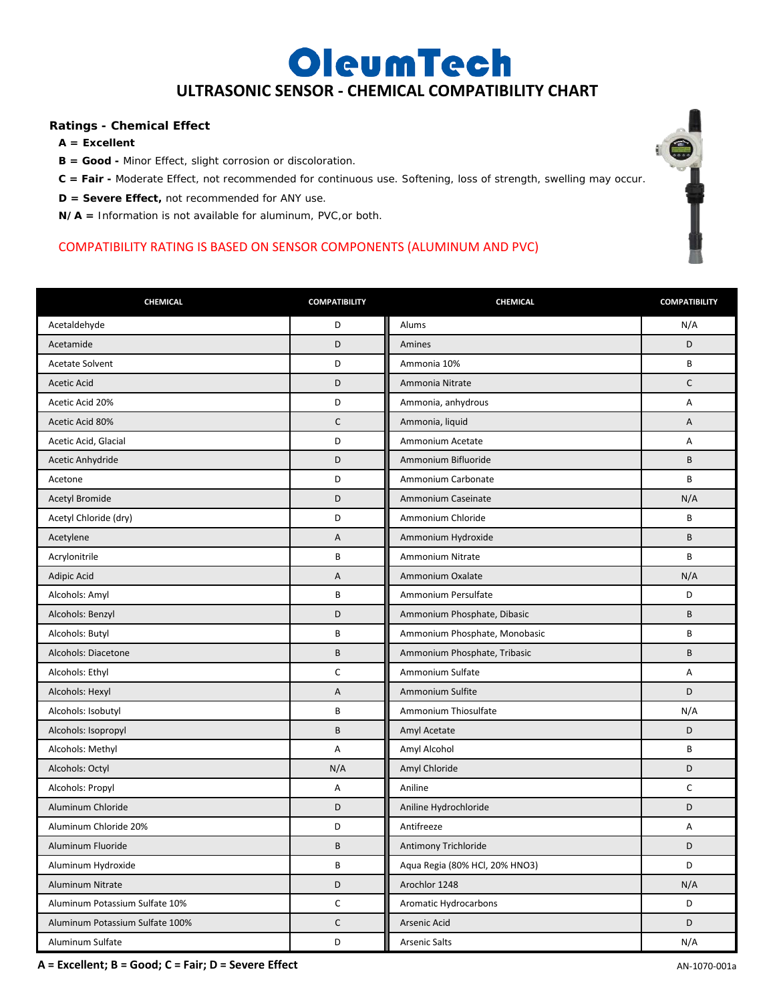## OleumTech **ULTRASONIC SENSOR - CHEMICAL COMPATIBILITY CHART**

## **Ratings - Chemical Effect**

- **A = Excellent**
- **B = Good -** Minor Effect, slight corrosion or discoloration.
- **C = Fair -** Moderate Effect, not recommended for continuous use. Softening, loss of strength, swelling may occur.
- **D = Severe Effect,** not recommended for ANY use.

**N/A =** Information is not available for aluminum, PVC,or both.

## COMPATIBILITY RATING IS BASED ON SENSOR COMPONENTS (ALUMINUM AND PVC)

| CHEMICAL                        | <b>COMPATIBILITY</b> | CHEMICAL                       | <b>COMPATIBILITY</b> |
|---------------------------------|----------------------|--------------------------------|----------------------|
| Acetaldehyde                    | D                    | Alums                          | N/A                  |
| Acetamide                       | D                    | Amines                         | D                    |
| <b>Acetate Solvent</b>          | D                    | Ammonia 10%                    | B                    |
| <b>Acetic Acid</b>              | D                    | Ammonia Nitrate                | $\mathsf{C}$         |
| Acetic Acid 20%                 | D                    | Ammonia, anhydrous             | A                    |
| Acetic Acid 80%                 | $\mathsf C$          | Ammonia, liquid                | A                    |
| Acetic Acid, Glacial            | D                    | Ammonium Acetate               | A                    |
| Acetic Anhydride                | D                    | Ammonium Bifluoride            | B                    |
| Acetone                         | D                    | Ammonium Carbonate             | B                    |
| <b>Acetyl Bromide</b>           | D                    | Ammonium Caseinate             | N/A                  |
| Acetyl Chloride (dry)           | D                    | Ammonium Chloride              | B                    |
| Acetylene                       | Α                    | Ammonium Hydroxide             | B                    |
| Acrylonitrile                   | $\sf B$              | Ammonium Nitrate               | B                    |
| Adipic Acid                     | A                    | Ammonium Oxalate               | N/A                  |
| Alcohols: Amyl                  | B                    | Ammonium Persulfate            | D                    |
| Alcohols: Benzyl                | D                    | Ammonium Phosphate, Dibasic    | B                    |
| Alcohols: Butyl                 | B                    | Ammonium Phosphate, Monobasic  | B                    |
| Alcohols: Diacetone             | $\sf B$              | Ammonium Phosphate, Tribasic   | B                    |
| Alcohols: Ethyl                 | $\mathsf C$          | Ammonium Sulfate               | Α                    |
| Alcohols: Hexyl                 | Α                    | Ammonium Sulfite               | D                    |
| Alcohols: Isobutyl              | B                    | Ammonium Thiosulfate           | N/A                  |
| Alcohols: Isopropyl             | B                    | Amyl Acetate                   | D                    |
| Alcohols: Methyl                | A                    | Amyl Alcohol                   | B                    |
| Alcohols: Octyl                 | N/A                  | Amyl Chloride                  | D                    |
| Alcohols: Propyl                | Α                    | Aniline                        | $\mathsf C$          |
| Aluminum Chloride               | D                    | Aniline Hydrochloride          | D                    |
| Aluminum Chloride 20%           | D                    | Antifreeze                     | Α                    |
| Aluminum Fluoride               | $\sf B$              | Antimony Trichloride           | D                    |
| Aluminum Hydroxide              | B                    | Aqua Regia (80% HCl, 20% HNO3) | D                    |
| Aluminum Nitrate                | D                    | Arochlor 1248                  | N/A                  |
| Aluminum Potassium Sulfate 10%  | C                    | Aromatic Hydrocarbons          | D                    |
| Aluminum Potassium Sulfate 100% | $\mathsf C$          | Arsenic Acid                   | D                    |
| Aluminum Sulfate                | D                    | <b>Arsenic Salts</b>           | N/A                  |

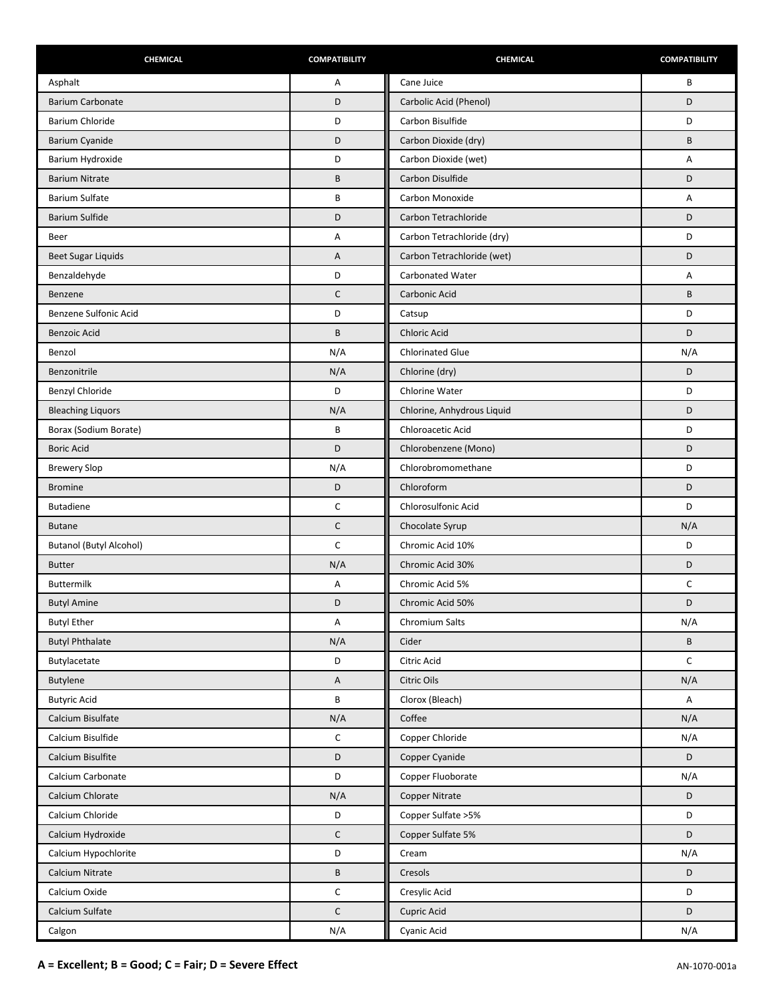| CHEMICAL                       | <b>COMPATIBILITY</b> | CHEMICAL                   | <b>COMPATIBILITY</b> |
|--------------------------------|----------------------|----------------------------|----------------------|
| Asphalt                        | Α                    | Cane Juice                 | В                    |
| <b>Barium Carbonate</b>        | D                    | Carbolic Acid (Phenol)     | D                    |
| Barium Chloride                | D                    | Carbon Bisulfide           | D                    |
| Barium Cyanide                 | D                    | Carbon Dioxide (dry)       | B                    |
| Barium Hydroxide               | D                    | Carbon Dioxide (wet)       | А                    |
| <b>Barium Nitrate</b>          | B                    | Carbon Disulfide           | D                    |
| <b>Barium Sulfate</b>          | B                    | Carbon Monoxide            | Α                    |
| <b>Barium Sulfide</b>          | D                    | Carbon Tetrachloride       | D                    |
| Beer                           | Α                    | Carbon Tetrachloride (dry) | D                    |
| <b>Beet Sugar Liquids</b>      | Α                    | Carbon Tetrachloride (wet) | D                    |
| Benzaldehyde                   | D                    | Carbonated Water           | Α                    |
| Benzene                        | $\mathsf{C}$         | Carbonic Acid              | B                    |
| Benzene Sulfonic Acid          | D                    | Catsup                     | D                    |
| <b>Benzoic Acid</b>            | B                    | <b>Chloric Acid</b>        | D                    |
| Benzol                         | N/A                  | <b>Chlorinated Glue</b>    | N/A                  |
| Benzonitrile                   | N/A                  | Chlorine (dry)             | D                    |
| Benzyl Chloride                | D                    | Chlorine Water             | D                    |
| <b>Bleaching Liquors</b>       | N/A                  | Chlorine, Anhydrous Liquid | D                    |
| Borax (Sodium Borate)          | B                    | Chloroacetic Acid          | D                    |
| <b>Boric Acid</b>              | D                    | Chlorobenzene (Mono)       | D                    |
| <b>Brewery Slop</b>            | N/A                  | Chlorobromomethane         | D                    |
| <b>Bromine</b>                 | D                    | Chloroform                 | D                    |
| <b>Butadiene</b>               | C                    | Chlorosulfonic Acid        | D                    |
| <b>Butane</b>                  | C                    | Chocolate Syrup            | N/A                  |
| <b>Butanol (Butyl Alcohol)</b> | C                    | Chromic Acid 10%           | D                    |
| <b>Butter</b>                  | N/A                  | Chromic Acid 30%           | D                    |
| <b>Buttermilk</b>              | А                    | Chromic Acid 5%            | C                    |
| <b>Butyl Amine</b>             | D                    | Chromic Acid 50%           | D                    |
| <b>Butyl Ether</b>             | Α                    | Chromium Salts             | N/A                  |
| <b>Butyl Phthalate</b>         | N/A                  | Cider                      | B                    |
| Butylacetate                   | D                    | Citric Acid                | $\mathsf C$          |
| Butylene                       | A                    | Citric Oils                | N/A                  |
| <b>Butyric Acid</b>            | B                    | Clorox (Bleach)            | Α                    |
| Calcium Bisulfate              | N/A                  | Coffee                     | N/A                  |
| Calcium Bisulfide              | С                    | Copper Chloride            | N/A                  |
| Calcium Bisulfite              | D                    | Copper Cyanide             | D                    |
| Calcium Carbonate              | D                    | Copper Fluoborate          | N/A                  |
| Calcium Chlorate               | N/A                  | Copper Nitrate             | D                    |
| Calcium Chloride               | D                    | Copper Sulfate > 5%        | D                    |
| Calcium Hydroxide              | $\mathsf C$          | Copper Sulfate 5%          | D                    |
| Calcium Hypochlorite           | D                    | Cream                      | N/A                  |
| Calcium Nitrate                | B                    | Cresols                    | D                    |
| Calcium Oxide                  | C                    | Cresylic Acid              | D                    |
| Calcium Sulfate                | $\mathsf C$          | Cupric Acid                | D                    |
| Calgon                         | N/A                  | Cyanic Acid                | N/A                  |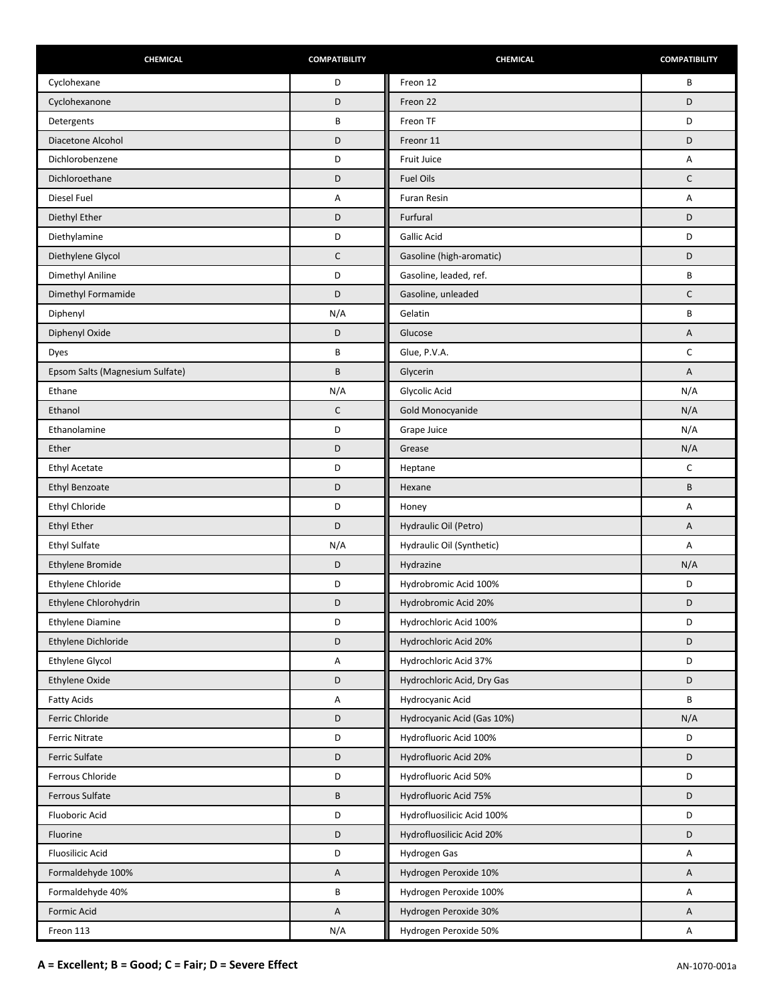| CHEMICAL                        | <b>COMPATIBILITY</b> | CHEMICAL                   | <b>COMPATIBILITY</b>      |
|---------------------------------|----------------------|----------------------------|---------------------------|
| Cyclohexane                     | D                    | Freon 12                   | B                         |
| Cyclohexanone                   | D                    | Freon 22                   | D                         |
| Detergents                      | B                    | Freon TF                   | D                         |
| Diacetone Alcohol               | D                    | Freonr 11                  | D                         |
| Dichlorobenzene                 | D                    | Fruit Juice                | А                         |
| Dichloroethane                  | D                    | <b>Fuel Oils</b>           | $\mathsf C$               |
| Diesel Fuel                     | Α                    | Furan Resin                | Α                         |
| Diethyl Ether                   | D                    | Furfural                   | D                         |
| Diethylamine                    | D                    | <b>Gallic Acid</b>         | D                         |
| Diethylene Glycol               | $\mathsf C$          | Gasoline (high-aromatic)   | D                         |
| Dimethyl Aniline                | D                    | Gasoline, leaded, ref.     | B                         |
| Dimethyl Formamide              | D                    | Gasoline, unleaded         | $\mathsf{C}$              |
| Diphenyl                        | N/A                  | Gelatin                    | B                         |
| Diphenyl Oxide                  | D                    | Glucose                    | A                         |
| Dyes                            | B                    | Glue, P.V.A.               | $\mathsf C$               |
| Epsom Salts (Magnesium Sulfate) | B                    | Glycerin                   | A                         |
| Ethane                          | N/A                  | Glycolic Acid              | N/A                       |
| Ethanol                         | $\mathsf C$          | Gold Monocyanide           | N/A                       |
| Ethanolamine                    | D                    | Grape Juice                | N/A                       |
| Ether                           | D                    | Grease                     | N/A                       |
| <b>Ethyl Acetate</b>            | D                    | Heptane                    | $\mathsf C$               |
| <b>Ethyl Benzoate</b>           | D                    | Hexane                     | B                         |
| Ethyl Chloride                  | D                    | Honey                      | Α                         |
| <b>Ethyl Ether</b>              | D                    | Hydraulic Oil (Petro)      | A                         |
| <b>Ethyl Sulfate</b>            | N/A                  | Hydraulic Oil (Synthetic)  | Α                         |
| Ethylene Bromide                | D                    | Hydrazine                  | N/A                       |
| Ethylene Chloride               | D                    | Hydrobromic Acid 100%      | D                         |
| Ethylene Chlorohydrin           | D                    | Hydrobromic Acid 20%       | D                         |
| Ethylene Diamine                | D                    | Hydrochloric Acid 100%     | D                         |
| Ethylene Dichloride             | D                    | Hydrochloric Acid 20%      | D                         |
| Ethylene Glycol                 | Α                    | Hydrochloric Acid 37%      | D                         |
| Ethylene Oxide                  | D                    | Hydrochloric Acid, Dry Gas | D                         |
| <b>Fatty Acids</b>              | А                    | Hydrocyanic Acid           | B                         |
| Ferric Chloride                 | D                    | Hydrocyanic Acid (Gas 10%) | N/A                       |
| <b>Ferric Nitrate</b>           | D                    | Hydrofluoric Acid 100%     | D                         |
| <b>Ferric Sulfate</b>           | D                    | Hydrofluoric Acid 20%      | D                         |
| Ferrous Chloride                | D                    | Hydrofluoric Acid 50%      | D                         |
| Ferrous Sulfate                 | B                    | Hydrofluoric Acid 75%      | D                         |
| Fluoboric Acid                  | D                    | Hydrofluosilicic Acid 100% | D                         |
| Fluorine                        | D                    | Hydrofluosilicic Acid 20%  | D                         |
| <b>Fluosilicic Acid</b>         | D                    | Hydrogen Gas               | Α                         |
| Formaldehyde 100%               | A                    | Hydrogen Peroxide 10%      | Α                         |
| Formaldehyde 40%                | B                    | Hydrogen Peroxide 100%     | Α                         |
| Formic Acid                     | A                    | Hydrogen Peroxide 30%      | A                         |
| Freon 113                       | N/A                  | Hydrogen Peroxide 50%      | $\boldsymbol{\mathsf{A}}$ |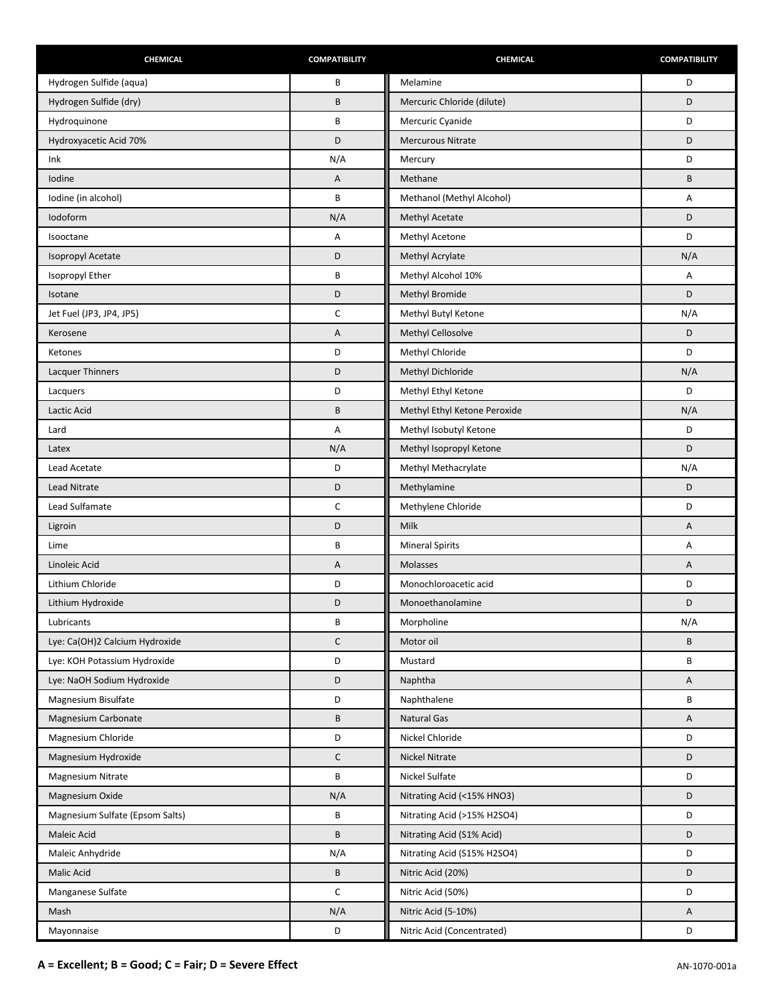| CHEMICAL                        | <b>COMPATIBILITY</b> | CHEMICAL                     | <b>COMPATIBILITY</b> |
|---------------------------------|----------------------|------------------------------|----------------------|
| Hydrogen Sulfide (aqua)         | B                    | Melamine                     | D                    |
| Hydrogen Sulfide (dry)          | B                    | Mercuric Chloride (dilute)   | D                    |
| Hydroquinone                    | B                    | Mercuric Cyanide             | D                    |
| Hydroxyacetic Acid 70%          | D                    | <b>Mercurous Nitrate</b>     | D                    |
| Ink                             | N/A                  | Mercury                      | D                    |
| Iodine                          | Α                    | Methane                      | B                    |
| Iodine (in alcohol)             | B                    | Methanol (Methyl Alcohol)    | Α                    |
| lodoform                        | N/A                  | Methyl Acetate               | D                    |
| Isooctane                       | Α                    | Methyl Acetone               | D                    |
| Isopropyl Acetate               | D                    | Methyl Acrylate              | N/A                  |
| Isopropyl Ether                 | B                    | Methyl Alcohol 10%           | Α                    |
| Isotane                         | D                    | Methyl Bromide               | D                    |
| Jet Fuel (JP3, JP4, JP5)        | C                    | Methyl Butyl Ketone          | N/A                  |
| Kerosene                        | Α                    | Methyl Cellosolve            | D                    |
| Ketones                         | D                    | Methyl Chloride              | D                    |
| <b>Lacquer Thinners</b>         | D                    | Methyl Dichloride            | N/A                  |
| Lacquers                        | D                    | Methyl Ethyl Ketone          | D                    |
| Lactic Acid                     | B                    | Methyl Ethyl Ketone Peroxide | N/A                  |
| Lard                            | Α                    | Methyl Isobutyl Ketone       | D                    |
| Latex                           | N/A                  | Methyl Isopropyl Ketone      | D                    |
| Lead Acetate                    | D                    | Methyl Methacrylate          | N/A                  |
| <b>Lead Nitrate</b>             | D                    | Methylamine                  | D                    |
| Lead Sulfamate                  | C                    | Methylene Chloride           | D                    |
| Ligroin                         | D                    | <b>Milk</b>                  | Α                    |
| Lime                            | B                    | <b>Mineral Spirits</b>       | Α                    |
| Linoleic Acid                   | Α                    | Molasses                     | Α                    |
| Lithium Chloride                | D                    | Monochloroacetic acid        | D                    |
| Lithium Hydroxide               | D                    | Monoethanolamine             | D                    |
| Lubricants                      | B                    | Morpholine                   | N/A                  |
| Lye: Ca(OH)2 Calcium Hydroxide  | $\mathsf{C}$         | Motor oil                    | B                    |
| Lye: KOH Potassium Hydroxide    | D                    | Mustard                      | В                    |
| Lye: NaOH Sodium Hydroxide      | D                    | Naphtha                      | Α                    |
| Magnesium Bisulfate             | D                    | Naphthalene                  | B                    |
| Magnesium Carbonate             | B                    | <b>Natural Gas</b>           | Α                    |
| Magnesium Chloride              | D                    | Nickel Chloride              | D                    |
| Magnesium Hydroxide             | $\mathsf{C}$         | <b>Nickel Nitrate</b>        | D                    |
| <b>Magnesium Nitrate</b>        | B                    | Nickel Sulfate               | D                    |
| Magnesium Oxide                 | N/A                  | Nitrating Acid (<15% HNO3)   | D                    |
| Magnesium Sulfate (Epsom Salts) | B                    | Nitrating Acid (>15% H2SO4)  | D                    |
| Maleic Acid                     | B                    | Nitrating Acid (S1% Acid)    | D                    |
| Maleic Anhydride                | N/A                  | Nitrating Acid (S15% H2SO4)  | D                    |
| Malic Acid                      | B                    | Nitric Acid (20%)            | D                    |
| Manganese Sulfate               | C                    | Nitric Acid (50%)            | D                    |
| Mash                            | N/A                  | Nitric Acid (5-10%)          | Α                    |
| Mayonnaise                      | D                    | Nitric Acid (Concentrated)   | D                    |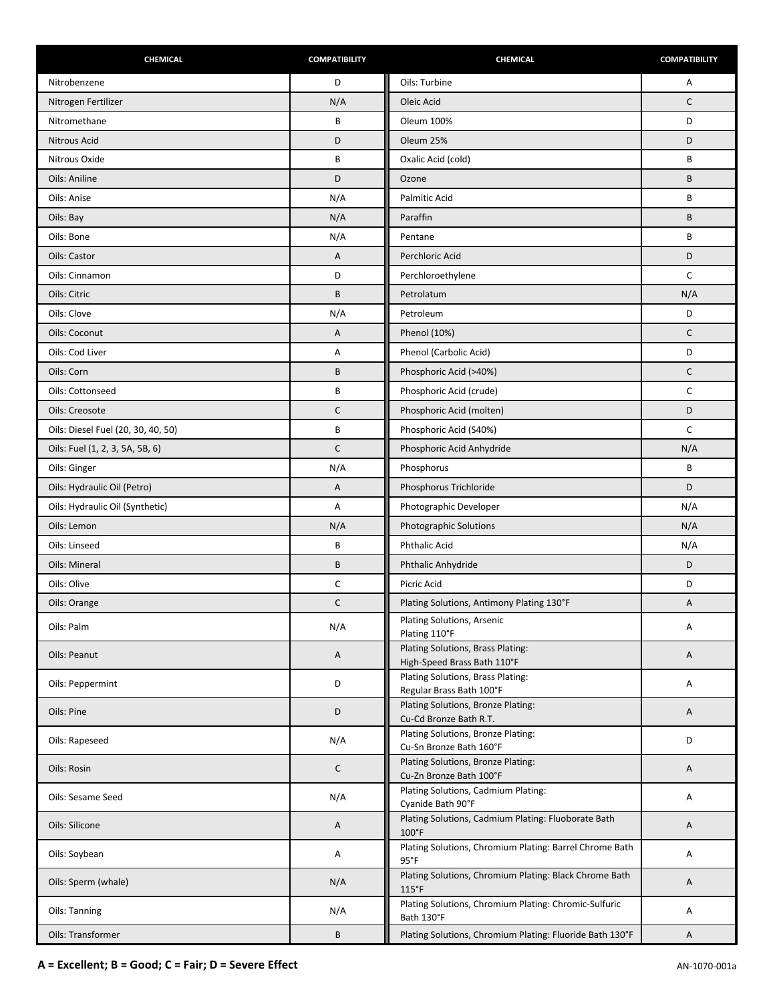| CHEMICAL                           | <b>COMPATIBILITY</b> | <b>CHEMICAL</b>                                                           | <b>COMPATIBILITY</b> |
|------------------------------------|----------------------|---------------------------------------------------------------------------|----------------------|
| Nitrobenzene                       | D                    | Oils: Turbine                                                             | Α                    |
| Nitrogen Fertilizer                | N/A                  | Oleic Acid                                                                | $\mathsf{C}$         |
| Nitromethane                       | B                    | <b>Oleum 100%</b>                                                         | D                    |
| Nitrous Acid                       | D                    | Oleum 25%                                                                 | D                    |
| Nitrous Oxide                      | B                    | Oxalic Acid (cold)                                                        | B                    |
| Oils: Aniline                      | D                    | Ozone                                                                     | B                    |
| Oils: Anise                        | N/A                  | <b>Palmitic Acid</b>                                                      | B                    |
| Oils: Bay                          | N/A                  | Paraffin                                                                  | B                    |
| Oils: Bone                         | N/A                  | Pentane                                                                   | B                    |
| Oils: Castor                       | Α                    | Perchloric Acid                                                           | D                    |
| Oils: Cinnamon                     | D                    | Perchloroethylene                                                         | C                    |
| Oils: Citric                       | B                    | Petrolatum                                                                | N/A                  |
| Oils: Clove                        | N/A                  | Petroleum                                                                 | D                    |
| Oils: Coconut                      | Α                    | Phenol (10%)                                                              | $\mathsf{C}$         |
| Oils: Cod Liver                    | Α                    | Phenol (Carbolic Acid)                                                    | D                    |
| Oils: Corn                         | B                    | Phosphoric Acid (>40%)                                                    | $\mathsf C$          |
| Oils: Cottonseed                   | B                    | Phosphoric Acid (crude)                                                   | $\mathsf{C}$         |
| Oils: Creosote                     | $\mathsf C$          | Phosphoric Acid (molten)                                                  | D                    |
| Oils: Diesel Fuel (20, 30, 40, 50) | B                    | Phosphoric Acid (S40%)                                                    | C                    |
| Oils: Fuel (1, 2, 3, 5A, 5B, 6)    | $\mathsf C$          | Phosphoric Acid Anhydride                                                 | N/A                  |
| Oils: Ginger                       | N/A                  | Phosphorus                                                                | B                    |
| Oils: Hydraulic Oil (Petro)        | Α                    | Phosphorus Trichloride                                                    | D                    |
| Oils: Hydraulic Oil (Synthetic)    | Α                    | Photographic Developer                                                    | N/A                  |
| Oils: Lemon                        | N/A                  | Photographic Solutions                                                    | N/A                  |
| Oils: Linseed                      | B                    | <b>Phthalic Acid</b>                                                      | N/A                  |
| Oils: Mineral                      | B                    | Phthalic Anhydride                                                        | D                    |
| Oils: Olive                        | С                    | Picric Acid                                                               | D                    |
| Oils: Orange                       | $\mathsf C$          | Plating Solutions, Antimony Plating 130°F                                 | Α                    |
| Oils: Palm                         | N/A                  | Plating Solutions, Arsenic<br>Plating 110°F                               | Α                    |
| Oils: Peanut                       | Α                    | Plating Solutions, Brass Plating:<br>High-Speed Brass Bath 110°F          | A                    |
| Oils: Peppermint                   | D                    | Plating Solutions, Brass Plating:<br>Regular Brass Bath 100°F             | Α                    |
| Oils: Pine                         | D                    | Plating Solutions, Bronze Plating:<br>Cu-Cd Bronze Bath R.T.              | A                    |
| Oils: Rapeseed                     | N/A                  | Plating Solutions, Bronze Plating:<br>Cu-Sn Bronze Bath 160°F             | D                    |
| Oils: Rosin                        | C                    | Plating Solutions, Bronze Plating:<br>Cu-Zn Bronze Bath 100°F             | A                    |
| Oils: Sesame Seed                  | N/A                  | Plating Solutions, Cadmium Plating:<br>Cyanide Bath 90°F                  | Α                    |
| Oils: Silicone                     | Α                    | Plating Solutions, Cadmium Plating: Fluoborate Bath<br>100°F              | A                    |
| Oils: Soybean                      | Α                    | Plating Solutions, Chromium Plating: Barrel Chrome Bath<br>$95^{\circ}$ F | Α                    |
| Oils: Sperm (whale)                | N/A                  | Plating Solutions, Chromium Plating: Black Chrome Bath<br>115°F           | A                    |
| Oils: Tanning                      | N/A                  | Plating Solutions, Chromium Plating: Chromic-Sulfuric<br>Bath 130°F       | Α                    |
| Oils: Transformer                  | B                    | Plating Solutions, Chromium Plating: Fluoride Bath 130°F                  | A                    |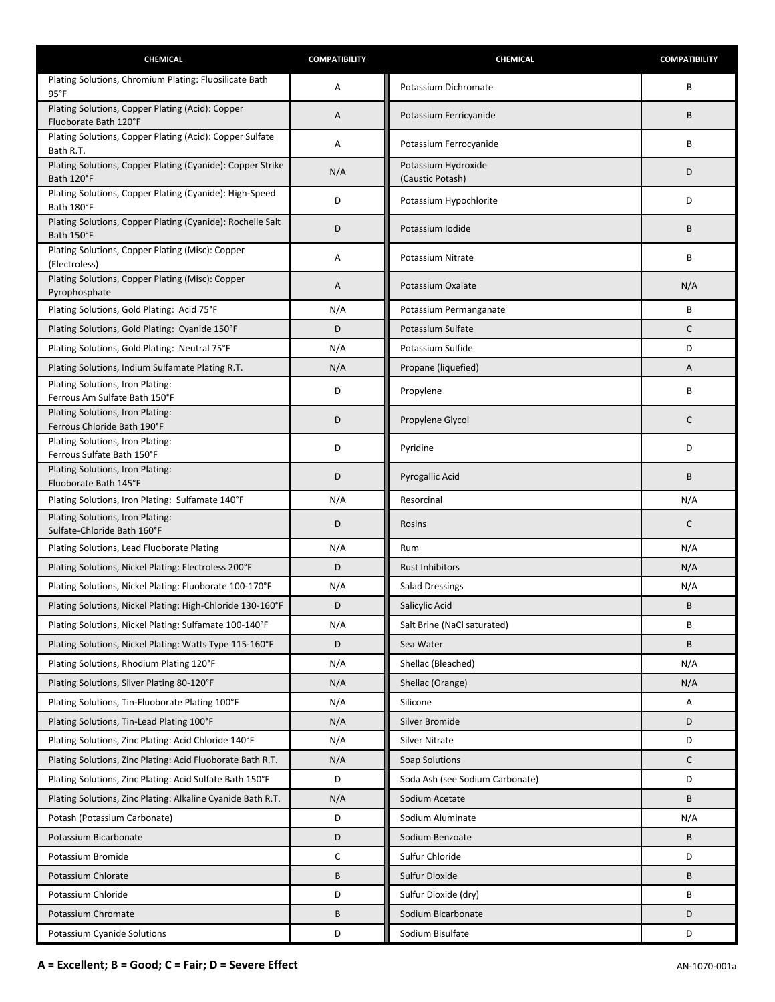| CHEMICAL                                                                                            | <b>COMPATIBILITY</b> | CHEMICAL                        | <b>COMPATIBILITY</b> |
|-----------------------------------------------------------------------------------------------------|----------------------|---------------------------------|----------------------|
| Plating Solutions, Chromium Plating: Fluosilicate Bath<br>$95^{\circ}$ F                            | Α                    | Potassium Dichromate            | B                    |
| Plating Solutions, Copper Plating (Acid): Copper                                                    | Α                    | Potassium Ferricyanide          | B                    |
| Fluoborate Bath 120°F<br>Plating Solutions, Copper Plating (Acid): Copper Sulfate                   | Α                    | Potassium Ferrocyanide          | B                    |
| Bath R.T.<br>Plating Solutions, Copper Plating (Cyanide): Copper Strike                             |                      | Potassium Hydroxide             |                      |
| Bath 120°F                                                                                          | N/A                  | (Caustic Potash)                | D                    |
| Plating Solutions, Copper Plating (Cyanide): High-Speed<br>Bath 180°F                               | D                    | Potassium Hypochlorite          | D                    |
| Plating Solutions, Copper Plating (Cyanide): Rochelle Salt<br>Bath 150°F                            | D                    | Potassium Iodide                | B                    |
| Plating Solutions, Copper Plating (Misc): Copper<br>(Electroless)                                   | Α                    | Potassium Nitrate               | B                    |
| Plating Solutions, Copper Plating (Misc): Copper<br>Pyrophosphate                                   | Α                    | Potassium Oxalate               | N/A                  |
| Plating Solutions, Gold Plating: Acid 75°F                                                          | N/A                  | Potassium Permanganate          | B                    |
| Plating Solutions, Gold Plating: Cyanide 150°F                                                      | D                    | Potassium Sulfate               | C                    |
| Plating Solutions, Gold Plating: Neutral 75°F                                                       | N/A                  | Potassium Sulfide               | D                    |
| Plating Solutions, Indium Sulfamate Plating R.T.                                                    | N/A                  | Propane (liquefied)             | A                    |
| Plating Solutions, Iron Plating:<br>Ferrous Am Sulfate Bath 150°F                                   | D                    | Propylene                       | B                    |
| Plating Solutions, Iron Plating:<br>Ferrous Chloride Bath 190°F                                     | D                    | Propylene Glycol                | $\mathsf{C}$         |
| Plating Solutions, Iron Plating:<br>Ferrous Sulfate Bath 150°F                                      | D                    | Pyridine                        | D                    |
| Plating Solutions, Iron Plating:<br>Fluoborate Bath 145°F                                           | D                    | Pyrogallic Acid                 | B                    |
| Plating Solutions, Iron Plating: Sulfamate 140°F                                                    | N/A                  | Resorcinal                      | N/A                  |
| Plating Solutions, Iron Plating:                                                                    | D                    | Rosins                          | $\mathsf{C}$         |
| Sulfate-Chloride Bath 160°F                                                                         |                      |                                 |                      |
| Plating Solutions, Lead Fluoborate Plating                                                          | N/A                  | Rum                             | N/A                  |
| Plating Solutions, Nickel Plating: Electroless 200°F                                                | D                    | <b>Rust Inhibitors</b>          | N/A                  |
| Plating Solutions, Nickel Plating: Fluoborate 100-170°F                                             | N/A                  | <b>Salad Dressings</b>          | N/A                  |
| Plating Solutions, Nickel Plating: High-Chloride 130-160°F                                          | D                    | Salicylic Acid                  | B                    |
| Plating Solutions, Nickel Plating: Sulfamate 100-140°F                                              | N/A<br>D             | Salt Brine (NaCl saturated)     | B<br>B               |
| Plating Solutions, Nickel Plating: Watts Type 115-160°F<br>Plating Solutions, Rhodium Plating 120°F | N/A                  | Sea Water<br>Shellac (Bleached) | N/A                  |
| Plating Solutions, Silver Plating 80-120°F                                                          | N/A                  | Shellac (Orange)                | N/A                  |
| Plating Solutions, Tin-Fluoborate Plating 100°F                                                     | N/A                  | Silicone                        | Α                    |
| Plating Solutions, Tin-Lead Plating 100°F                                                           | N/A                  | Silver Bromide                  | D                    |
| Plating Solutions, Zinc Plating: Acid Chloride 140°F                                                | N/A                  | <b>Silver Nitrate</b>           | D                    |
| Plating Solutions, Zinc Plating: Acid Fluoborate Bath R.T.                                          | N/A                  | Soap Solutions                  | $\mathsf{C}$         |
| Plating Solutions, Zinc Plating: Acid Sulfate Bath 150°F                                            | D                    | Soda Ash (see Sodium Carbonate) | D                    |
| Plating Solutions, Zinc Plating: Alkaline Cyanide Bath R.T.                                         | N/A                  | Sodium Acetate                  | B                    |
| Potash (Potassium Carbonate)                                                                        | D                    | Sodium Aluminate                | N/A                  |
| Potassium Bicarbonate                                                                               | D                    | Sodium Benzoate                 | B                    |
| Potassium Bromide                                                                                   | C                    | Sulfur Chloride                 | D                    |
| Potassium Chlorate                                                                                  | B                    | Sulfur Dioxide                  | B                    |
| Potassium Chloride                                                                                  | D                    | Sulfur Dioxide (dry)            | B                    |
| Potassium Chromate                                                                                  | В                    | Sodium Bicarbonate              | D                    |
| Potassium Cyanide Solutions                                                                         | D                    | Sodium Bisulfate                | D                    |